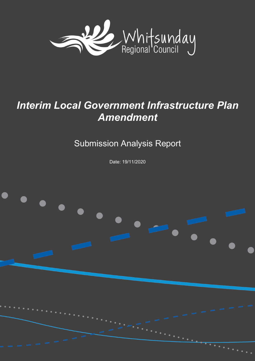

# *Interim Local Government Infrastructure Plan Amendment*

Submission Analysis Report

Date: 19/11/2020

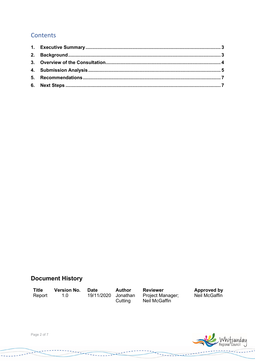#### **Contents**

### **Document History**

<span id="page-1-0"></span>**Title** Report

**Version No. Date**  $1.0$ 

**Author** 19/11/2020 Jonathan Cutting

**Reviewer** Project Manager;<br>Neil McGaffin

المتجرج

**Approved by**<br>Neil McGaffin

**RESERVATION** 



Page 2 of 7

 $\cdots$ 

 $\omega \simeq \pi$ 

بالمستسلب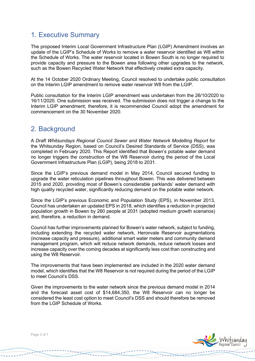#### 1. Executive Summary

The proposed Interim Local Government Infrastructure Plan (LGIP) Amendment involves an update of the LGIP's Schedule of Works to remove a water reservoir identified as W8 within the Schedule of Works. The water reservoir located in Bowen South is no longer required to provide capacity and pressure to the Bowen area following other upgrades to the network, such as the Bowen Recycled Water Network that effectively created extra capacity.

At the 14 October 2020 Ordinary Meeting, Council resolved to undertake public consultation on the Interim LGIP amendment to remove water reservoir W8 from the LGIP.

Public consultation for the Interim LGIP amendment was undertaken from the 26/10/2020 to 16/11/2020. One submission was received. The submission does not trigger a change to the Interim LGIP amendment; therefore, it is recommended Council adopt the amendment for commencement on the 30 November 2020.

#### <span id="page-2-0"></span>2. Background

A *Draft Whitsundays Regional Council Sewer and Water Network Modelling Report* for the Whitsunday Region, based on Council's Desired Standards of Service (DSS), was completed in February 2020. This Report identified that Bowen's potable water demand no longer triggers the construction of the W8 Reservoir during the period of the Local Government Infrastructure Plan (LGIP), being 2018 to 2031.

Since the LGIP's previous demand model in May 2014, Council secured funding to upgrade the water reticulation pipelines throughout Bowen. This was delivered between 2015 and 2020, providing most of Bowen's considerable parklands' water demand with high quality recycled water, significantly reducing demand on the potable water network.

Since the LGIP's previous Economic and Population Study (EPS), in November 2013, Council has undertaken an updated EPS in 2018, which identifies a reduction in projected population growth in Bowen by 260 people at 2031 (adopted medium growth scenarios) and, therefore, a reduction in demand.

Council has further improvements planned for Bowen's water network, subject to funding, including extending the recycled water network, Heronvale Reservoir augmentations (increase capacity and pressure), additional smart water meters and community demand management program, which will reduce network demands, reduce network losses and increase capacity over the coming decades at significantly less cost than constructing and using the W8 Reservoir.

The improvements that have been implemented are included in the 2020 water demand model, which identifies that the W8 Reservoir is not required during the period of the LGIP to meet Council's DSS.

Given the improvements to the water network since the previous demand model in 2014 and the forecast asset cost of \$14,684,350, the W8 Reservoir can no longer be considered the least cost option to meet Council's DSS and should therefore be removed from the LGIP Schedule of Works.

 $7 - 11 - 12 - 17$ 



**THANKS 2004** 

Page 3 of 7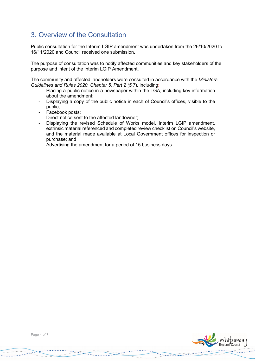# <span id="page-3-0"></span>3. Overview of the Consultation

Public consultation for the Interim LGIP amendment was undertaken from the 26/10/2020 to 16/11/2020 and Council received one submission.

The purpose of consultation was to notify affected communities and key stakeholders of the purpose and intent of the Interim LGIP Amendment.

The community and affected landholders were consulted in accordance with the *Ministers Guidelines and Rules 2020, Chapter 5, Part 2 (5.7*), including:

- Placing a public notice in a newspaper within the LGA, including key information about the amendment;
- Displaying a copy of the public notice in each of Council's offices, visible to the public;
- Facebook posts;<br>- Direct notice sen
- Direct notice sent to the affected landowner;
- Displaying the revised Schedule of Works model, Interim LGIP amendment, extrinsic material referenced and completed review checklist on Council's website, and the material made available at Local Government offices for inspection or purchase; and
- Advertising the amendment for a period of 15 business days.



7.442244

grare

and the same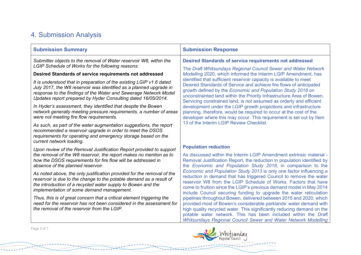# 4. Submission Analysis

| <b>Submission Summary</b>                                                                                                                                                                                                                                                                                                                                                                                                                                                                                                     | <b>Submission Response</b>                                                                                                                                                                                                                                                                                                                                                                                                                                                                                                                                                                                                                                                             |                                                                                                                                                                                                                                                                                                                                                           |
|-------------------------------------------------------------------------------------------------------------------------------------------------------------------------------------------------------------------------------------------------------------------------------------------------------------------------------------------------------------------------------------------------------------------------------------------------------------------------------------------------------------------------------|----------------------------------------------------------------------------------------------------------------------------------------------------------------------------------------------------------------------------------------------------------------------------------------------------------------------------------------------------------------------------------------------------------------------------------------------------------------------------------------------------------------------------------------------------------------------------------------------------------------------------------------------------------------------------------------|-----------------------------------------------------------------------------------------------------------------------------------------------------------------------------------------------------------------------------------------------------------------------------------------------------------------------------------------------------------|
| Submitter objects to the removal of Water reservoir W8, within the<br>LGIP Schedule of Works for the following reasons:                                                                                                                                                                                                                                                                                                                                                                                                       | <b>Desired Standards of service requirements not addressed</b><br>The Draft Whitsundays Regional Council Sewer and Water Network                                                                                                                                                                                                                                                                                                                                                                                                                                                                                                                                                       |                                                                                                                                                                                                                                                                                                                                                           |
| Desired Standards of service requirements not addressed<br>It is understood that in preparation of the existing LGIP v1.6 dated<br>July 2017, the W8 reservoir was identified as a planned upgrade in<br>response to the findings of the Water and Sewerage Network Model<br>Updates report prepared by Hyder Consulting dated 16/05/2014.<br>In Hyder's assessment, they identified that despite the Bowen<br>network generally meeting pressure requirements, a number of areas<br>were not meeting fire flow requirements. | Modelling 2020, which informed the Interim LGIP Amendment, has<br>identified that sufficient reservoir capacity is available to meet<br>Desired Standards of Service and achieve fire flows of anticipated<br>growth defined by the Economic and Population Study 2018 on<br>unconstrainted land within the Priority Infrastructure Area of Bowen.<br>Servicing constrained land, is not assumed as orderly and efficient<br>development under the LGIP growth projections and infrastructure<br>planning, therefore, would be required to occur at the cost of the<br>developer where this may occur. This requirement is set out by Item<br>13 of the Interim LGIP Review Checklist. |                                                                                                                                                                                                                                                                                                                                                           |
|                                                                                                                                                                                                                                                                                                                                                                                                                                                                                                                               |                                                                                                                                                                                                                                                                                                                                                                                                                                                                                                                                                                                                                                                                                        | As such, as part of the water augmentation suggestions, the report<br>recommended a reservoir upgrade in order to meet the DSOS<br>requirements for operating and emergency storage based on the<br>current network loading.                                                                                                                              |
|                                                                                                                                                                                                                                                                                                                                                                                                                                                                                                                               |                                                                                                                                                                                                                                                                                                                                                                                                                                                                                                                                                                                                                                                                                        | Upon review of the Removal Justification Report provided to support<br>the removal of the W8 reservoir, the report makes no mention as to<br>how the DSOS requirements for fire flow will be addressed in<br>absence of the planned reservoir.                                                                                                            |
| As noted above, the only justification provided for the removal of the<br>reservoir is due to the change to the potable demand as a result of<br>the introduction of a recycled water supply to Bowen and the<br>implementation of some demand management.                                                                                                                                                                                                                                                                    |                                                                                                                                                                                                                                                                                                                                                                                                                                                                                                                                                                                                                                                                                        | Economic and Population Study 2013 is only one factor influencing a<br>reduction in demand that has triggered Council to remove the water<br>reservoir W8 from the LGIP Schedule of Works. Factors that have<br>come to fruition since the LGIP's previous demand model in May 2014<br>include Council securing funding to upgrade the water reticulation |
| Thus, this is of great concern that a critical element triggering the<br>need for the reservoir has not been considered in the assessment for<br>the removal of the reservoir from the LGIP.                                                                                                                                                                                                                                                                                                                                  | pipelines throughout Bowen, delivered between 2015 and 2020, which<br>provided most of Bowen's considerable parklands' water demand with<br>high quality recycled water. This significantly reducing demand on the<br>potable water network. This has been included within the Draft<br>Whitsundays Regional Council Sewer and Water Network Modelling                                                                                                                                                                                                                                                                                                                                 |                                                                                                                                                                                                                                                                                                                                                           |

<span id="page-4-0"></span>Page 5 of 7

. . . . . . . . .

 $1.1.1.1.1.1.1.1$ 

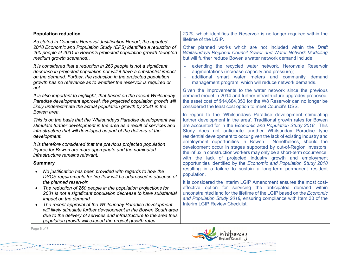| <b>Population reduction</b>                                                                                                                                                                                                                                                                                                                                                                                                                                            | 2020, which identifies the Reservoir is no longer required within the                                                                                                                                                                                                                                                                                                                                                                                                                                                                                                                                                               |
|------------------------------------------------------------------------------------------------------------------------------------------------------------------------------------------------------------------------------------------------------------------------------------------------------------------------------------------------------------------------------------------------------------------------------------------------------------------------|-------------------------------------------------------------------------------------------------------------------------------------------------------------------------------------------------------------------------------------------------------------------------------------------------------------------------------------------------------------------------------------------------------------------------------------------------------------------------------------------------------------------------------------------------------------------------------------------------------------------------------------|
| As stated in Council's Removal Justification Report, the updated<br>2018 Economic and Population Study (EPS) identified a reduction of<br>260 people at 2031 in Bowen's projected population growth (adopted<br>medium growth scenarios).                                                                                                                                                                                                                              | lifetime of the LGIP.<br>Other planned works which are not included within the Draft<br>Whitsundays Regional Council Sewer and Water Network Modelling<br>but will further reduce Bowen's water network demand include:                                                                                                                                                                                                                                                                                                                                                                                                             |
| It is considered that a reduction in 260 people is not a significant<br>decrease in projected population nor will it have a substantial impact<br>on the demand. Further, the reduction in the projected population<br>growth has no relevance as to whether the reservoir is required or<br>not.                                                                                                                                                                      | extending the recycled water network, Heronvale Reservoir<br>augmentations (increase capacity and pressure);<br>additional smart water meters and community demand<br>$\omega$<br>management program, which will reduce network demands.                                                                                                                                                                                                                                                                                                                                                                                            |
| It is also important to highlight, that based on the recent Whitsunday<br>Paradise development approval, the projected population growth will<br>likely underestimate the actual population growth by 2031 in the                                                                                                                                                                                                                                                      | Given the improvements to the water network since the previous<br>demand model in 2014 and further infrastructure upgrades proposed,<br>the asset cost of \$14,684,350 for the W8 Reservoir can no longer be<br>considered the least cost option to meet Council's DSS.                                                                                                                                                                                                                                                                                                                                                             |
| Bowen area.<br>This is on the basis that the Whitsundays Paradise development will<br>stimulate further development in the area as a result of services and<br>infrastructure that will developed as part of the delivery of the<br>development.                                                                                                                                                                                                                       | In regard to the 'Whitsundays Paradise development stimulating<br>further development in the area'. Traditional growth rates for Bowen<br>are accounted for in the Economic and Population Study 2018. This<br>Study does not anticipate another Whitsunday Paradise type<br>residential development to occur given the lack of existing industry and<br>employment opportunities in Bowen.<br>Nonetheless, should the<br>development occur in stages supported by out-of-Region investors,<br>the influx in construction workers may only be a short-term occurrence,<br>with the lack of projected industry growth and employment |
| It is therefore considered that the previous projected population<br>figures for Bowen are more appropriate and the nominated<br>infrastructure remains relevant.                                                                                                                                                                                                                                                                                                      |                                                                                                                                                                                                                                                                                                                                                                                                                                                                                                                                                                                                                                     |
| <b>Summary</b>                                                                                                                                                                                                                                                                                                                                                                                                                                                         | opportunities identified by the Economic and Population Study 2018                                                                                                                                                                                                                                                                                                                                                                                                                                                                                                                                                                  |
| No justification has been provided with regards to how the<br>DSOS requirements for fire flow will be addressed in absence of                                                                                                                                                                                                                                                                                                                                          | resulting in a failure to sustain a long-term permanent resident<br>population.                                                                                                                                                                                                                                                                                                                                                                                                                                                                                                                                                     |
| the planned reservoir.<br>The reduction of 260 people in the population projections for<br>$\bullet$<br>2031 is not a significant population decrease to have substantial<br>impact on the demand<br>The recent approval of the Whitsunday Paradise development<br>will likely stimulate further development in the Bowen South area<br>due to the delivery of services and infrastructure to the area thus<br>population growth will exceed the project growth rates. | It is considered the Interim LGIP Amendment ensures the most cost-<br>effective option for servicing the anticipated demand within<br>unconstrainted land for the lifetime of the LGIP based on the Economic<br>and Population Study 2018, ensuring compliance with Item 30 of the<br><b>Interim LGIP Review Checklist.</b>                                                                                                                                                                                                                                                                                                         |
| Page 6 of 7                                                                                                                                                                                                                                                                                                                                                                                                                                                            |                                                                                                                                                                                                                                                                                                                                                                                                                                                                                                                                                                                                                                     |

 $\begin{picture}(120,10) \put(0,0){\line(1,0){100}} \put(0,0){\line(1,0){100}} \put(0,0){\line(1,0){100}} \put(0,0){\line(1,0){100}} \put(0,0){\line(1,0){100}} \put(0,0){\line(1,0){100}} \put(0,0){\line(1,0){100}} \put(0,0){\line(1,0){100}} \put(0,0){\line(1,0){100}} \put(0,0){\line(1,0){100}} \put(0,0){\line(1,0){100}} \put(0,0){\line($ 

<u>.</u><br>Ezekaduarrekoadua